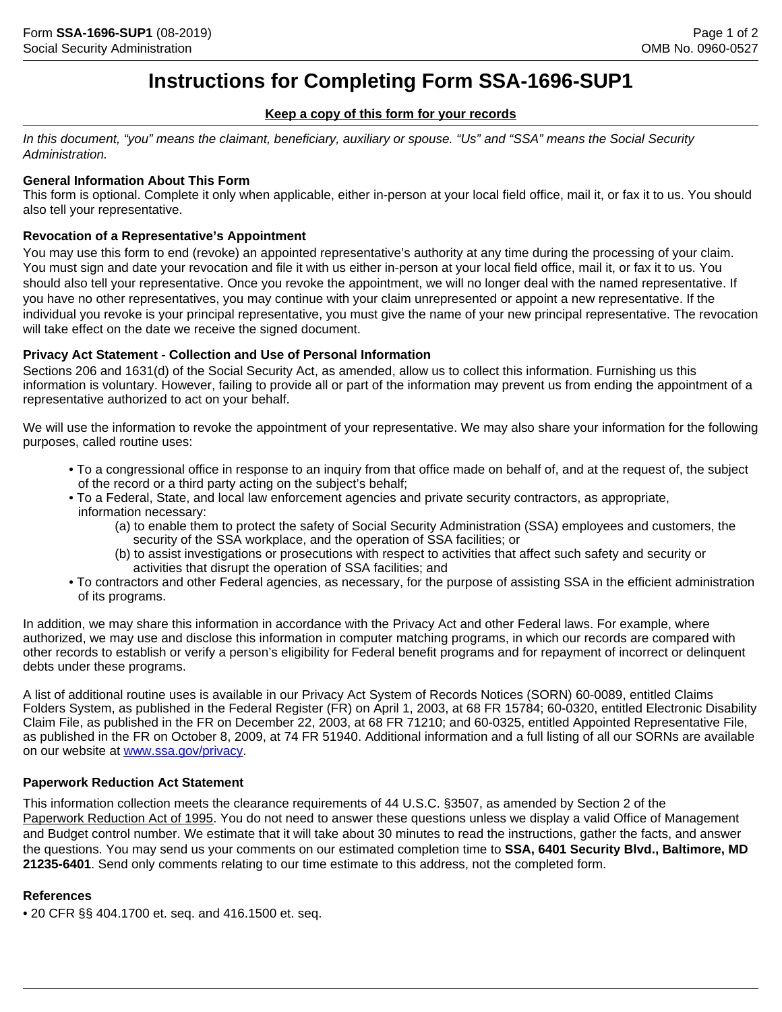# **Instructions for Completing Form SSA-1696-SUP1**

## **Keep a copy of this form for your records**

*In this document, "you" means the claimant, beneficiary, auxiliary or spouse. "Us" and "SSA" means the Social Security Administration.*

# **General Information About This Form**

This form is optional. Complete it only when applicable, either in-person at your local field office, mail it, or fax it to us. You should also tell your representative.

# **Revocation of a Representative's Appointment**

You may use this form to end (revoke) an appointed representative's authority at any time during the processing of your claim. You must sign and date your revocation and file it with us either in-person at your local field office, mail it, or fax it to us. You should also tell your representative. Once you revoke the appointment, we will no longer deal with the named representative. If you have no other representatives, you may continue with your claim unrepresented or appoint a new representative. If the individual you revoke is your principal representative, you must give the name of your new principal representative. The revocation will take effect on the date we receive the signed document.

# **Privacy Act Statement - Collection and Use of Personal Information**

Sections 206 and 1631(d) of the Social Security Act, as amended, allow us to collect this information. Furnishing us this information is voluntary. However, failing to provide all or part of the information may prevent us from ending the appointment of a representative authorized to act on your behalf.

We will use the information to revoke the appointment of your representative. We may also share your information for the following purposes, called routine uses:

- To a congressional office in response to an inquiry from that office made on behalf of, and at the request of, the subject of the record or a third party acting on the subject's behalf;
- To a Federal, State, and local law enforcement agencies and private security contractors, as appropriate, information necessary:
	- (a) to enable them to protect the safety of Social Security Administration (SSA) employees and customers, the security of the SSA workplace, and the operation of SSA facilities; or
	- (b) to assist investigations or prosecutions with respect to activities that affect such safety and security or activities that disrupt the operation of SSA facilities; and
- To contractors and other Federal agencies, as necessary, for the purpose of assisting SSA in the efficient administration of its programs.

In addition, we may share this information in accordance with the Privacy Act and other Federal laws. For example, where authorized, we may use and disclose this information in computer matching programs, in which our records are compared with other records to establish or verify a person's eligibility for Federal benefit programs and for repayment of incorrect or delinquent debts under these programs.

A list of additional routine uses is available in our Privacy Act System of Records Notices (SORN) 60-0089, entitled Claims Folders System, as published in the Federal Register (FR) on April 1, 2003, at 68 FR 15784; 60-0320, entitled Electronic Disability Claim File, as published in the FR on December 22, 2003, at 68 FR 71210; and 60-0325, entitled Appointed Representative File, as published in the FR on October 8, 2009, at 74 FR 51940. Additional information and a full listing of all our SORNs are available on our website at <www.ssa.gov/privacy>.

# **Paperwork Reduction Act Statement**

This information collection meets the clearance requirements of 44 U.S.C. §3507, as amended by Section 2 of the Paperwork Reduction Act of 1995. You do not need to answer these questions unless we display a valid Office of Management and Budget control number. We estimate that it will take about 30 minutes to read the instructions, gather the facts, and answer the questions. You may send us your comments on our estimated completion time to **SSA, 6401 Security Blvd., Baltimore, MD 21235-6401**. Send only comments relating to our time estimate to this address, not the completed form.

### **References**

• 20 CFR §§ 404.1700 et. seq. and 416.1500 et. seq.